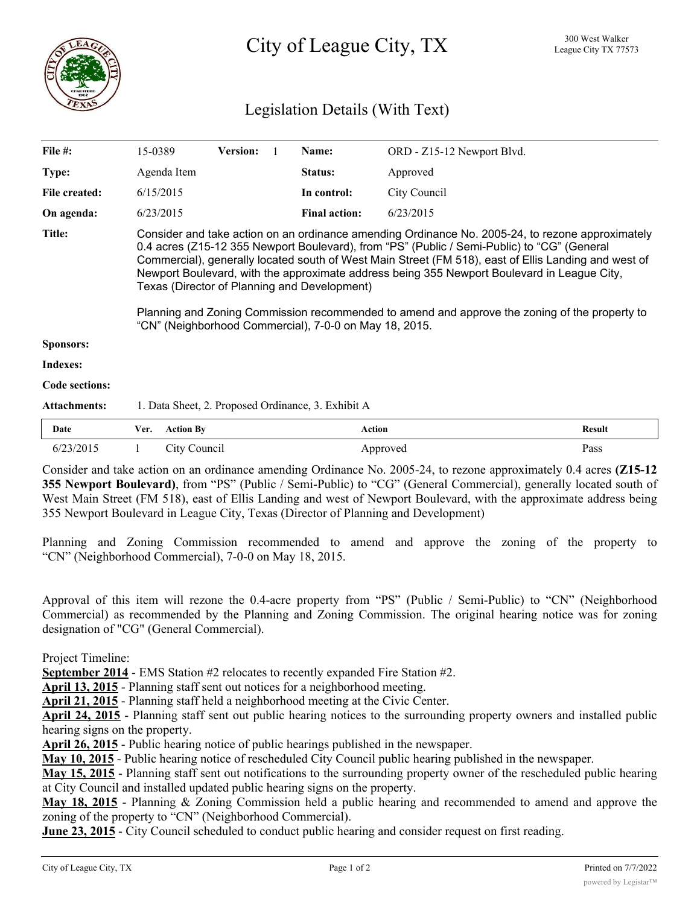

# Legislation Details (With Text)

| File #:             | 15-0389                                                                                                                                                                                                                                                                                                                                                                                                                                                                                                                                                                                                           |                                                    | <b>Version:</b> |  | Name:                | ORD - Z15-12 Newport Blvd. |               |  |
|---------------------|-------------------------------------------------------------------------------------------------------------------------------------------------------------------------------------------------------------------------------------------------------------------------------------------------------------------------------------------------------------------------------------------------------------------------------------------------------------------------------------------------------------------------------------------------------------------------------------------------------------------|----------------------------------------------------|-----------------|--|----------------------|----------------------------|---------------|--|
| Type:               |                                                                                                                                                                                                                                                                                                                                                                                                                                                                                                                                                                                                                   | Agenda Item                                        |                 |  | Status:              | Approved                   |               |  |
| File created:       |                                                                                                                                                                                                                                                                                                                                                                                                                                                                                                                                                                                                                   | 6/15/2015<br>6/23/2015                             |                 |  | In control:          | City Council               |               |  |
| On agenda:          |                                                                                                                                                                                                                                                                                                                                                                                                                                                                                                                                                                                                                   |                                                    |                 |  | <b>Final action:</b> | 6/23/2015                  |               |  |
| <b>Title:</b>       | Consider and take action on an ordinance amending Ordinance No. 2005-24, to rezone approximately<br>0.4 acres (Z15-12 355 Newport Boulevard), from "PS" (Public / Semi-Public) to "CG" (General<br>Commercial), generally located south of West Main Street (FM 518), east of Ellis Landing and west of<br>Newport Boulevard, with the approximate address being 355 Newport Boulevard in League City,<br>Texas (Director of Planning and Development)<br>Planning and Zoning Commission recommended to amend and approve the zoning of the property to<br>"CN" (Neighborhood Commercial), 7-0-0 on May 18, 2015. |                                                    |                 |  |                      |                            |               |  |
| <b>Sponsors:</b>    |                                                                                                                                                                                                                                                                                                                                                                                                                                                                                                                                                                                                                   |                                                    |                 |  |                      |                            |               |  |
| Indexes:            |                                                                                                                                                                                                                                                                                                                                                                                                                                                                                                                                                                                                                   |                                                    |                 |  |                      |                            |               |  |
| Code sections:      |                                                                                                                                                                                                                                                                                                                                                                                                                                                                                                                                                                                                                   |                                                    |                 |  |                      |                            |               |  |
| <b>Attachments:</b> |                                                                                                                                                                                                                                                                                                                                                                                                                                                                                                                                                                                                                   | 1. Data Sheet, 2. Proposed Ordinance, 3. Exhibit A |                 |  |                      |                            |               |  |
| Date                | Ver.                                                                                                                                                                                                                                                                                                                                                                                                                                                                                                                                                                                                              | <b>Action By</b>                                   |                 |  | <b>Action</b>        |                            | <b>Result</b> |  |
| 6/23/2015           |                                                                                                                                                                                                                                                                                                                                                                                                                                                                                                                                                                                                                   | City Council                                       |                 |  |                      | Approved                   | Pass          |  |

Consider and take action on an ordinance amending Ordinance No. 2005-24, to rezone approximately 0.4 acres **(Z15-12 355 Newport Boulevard)**, from "PS" (Public / Semi-Public) to "CG" (General Commercial), generally located south of West Main Street (FM 518), east of Ellis Landing and west of Newport Boulevard, with the approximate address being 355 Newport Boulevard in League City, Texas (Director of Planning and Development)

Planning and Zoning Commission recommended to amend and approve the zoning of the property to "CN" (Neighborhood Commercial), 7-0-0 on May 18, 2015.

Approval of this item will rezone the 0.4-acre property from "PS" (Public / Semi-Public) to "CN" (Neighborhood Commercial) as recommended by the Planning and Zoning Commission. The original hearing notice was for zoning designation of "CG" (General Commercial).

Project Timeline:

**September 2014** - EMS Station #2 relocates to recently expanded Fire Station #2.

**April 13, 2015** - Planning staff sent out notices for a neighborhood meeting.

**April 21, 2015** - Planning staff held a neighborhood meeting at the Civic Center.

**April 24, 2015** - Planning staff sent out public hearing notices to the surrounding property owners and installed public hearing signs on the property.

**April 26, 2015** - Public hearing notice of public hearings published in the newspaper.

**May 10, 2015** - Public hearing notice of rescheduled City Council public hearing published in the newspaper.

**May 15, 2015** - Planning staff sent out notifications to the surrounding property owner of the rescheduled public hearing at City Council and installed updated public hearing signs on the property.

**May 18, 2015** - Planning & Zoning Commission held a public hearing and recommended to amend and approve the zoning of the property to "CN" (Neighborhood Commercial).

**June 23, 2015** - City Council scheduled to conduct public hearing and consider request on first reading.